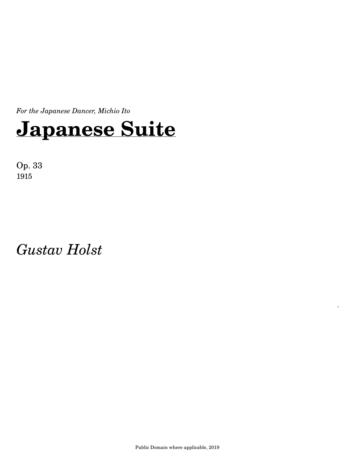*For the Japanese Dancer, Michio Ito*



Op. 33 1915

*Gustav Holst*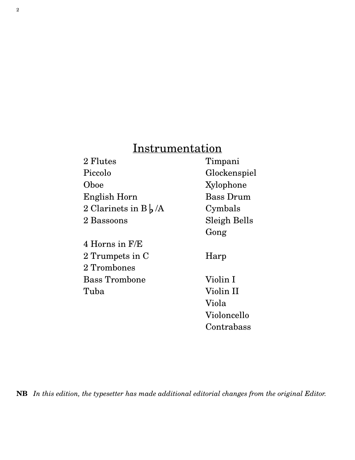# Instrumentation

| 2 Flutes               | Timpani          |
|------------------------|------------------|
| Piccolo                | Glockenspiel     |
| Oboe                   | Xylophone        |
| English Horn           | <b>Bass Drum</b> |
| 2 Clarinets in $B_b/A$ | Cymbals          |
| 2 Bassoons             | Sleigh Bells     |
|                        | Gong             |
| 4 Horns in F/E         |                  |
| 2 Trumpets in C        | Harp             |
| 2 Trombones            |                  |
| <b>Bass Trombone</b>   | Violin I         |
| Tuba                   | Violin II        |
|                        | Viola            |
|                        | Violoncello      |
|                        | Contrabass       |

**NB** *In this edition, the typesetter has made additional editorial changes from the original Editor.*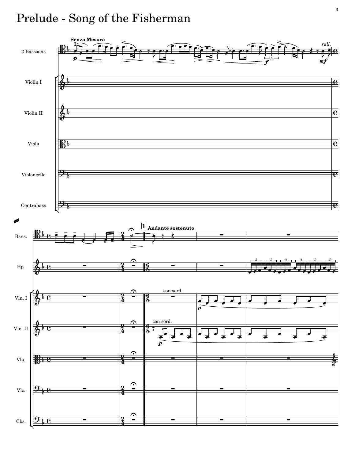## Prelude - Song of the Fisherman

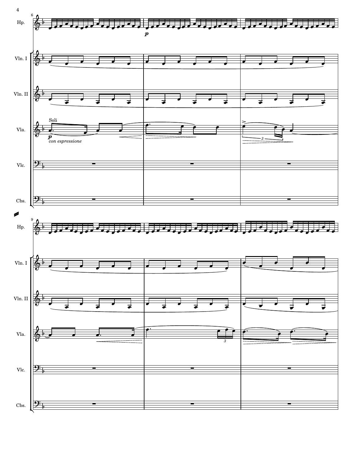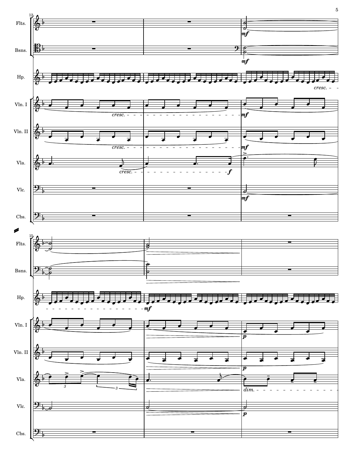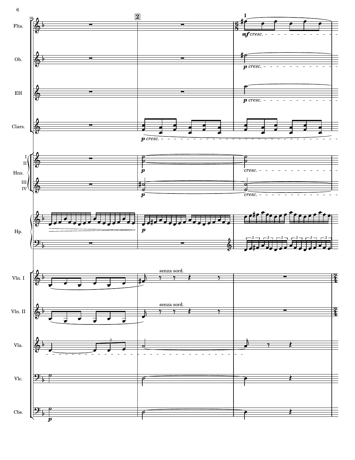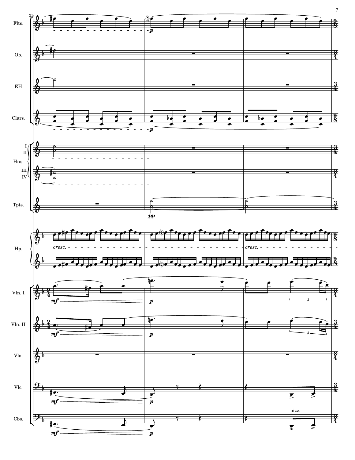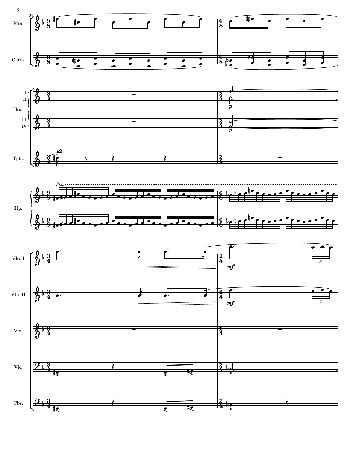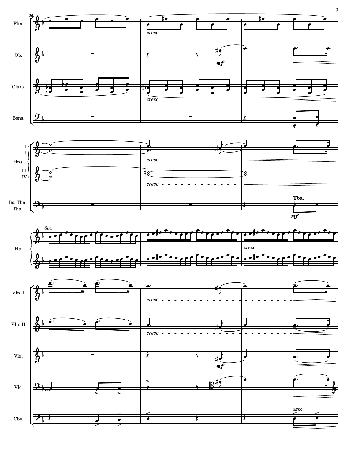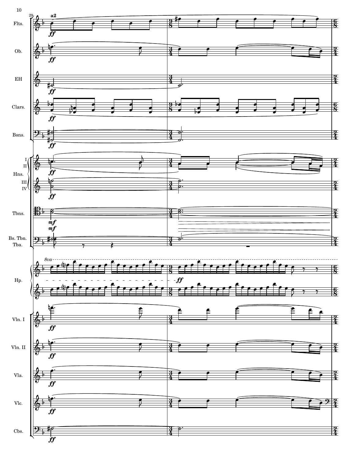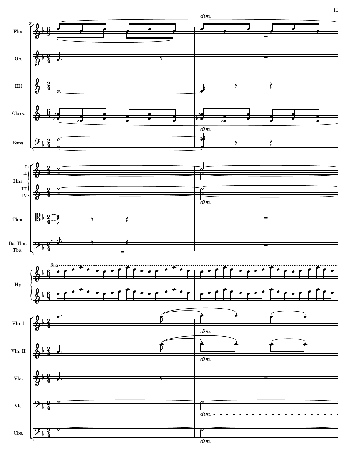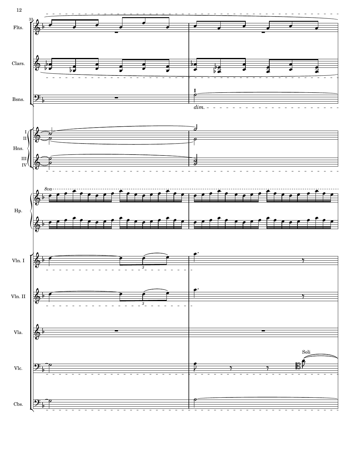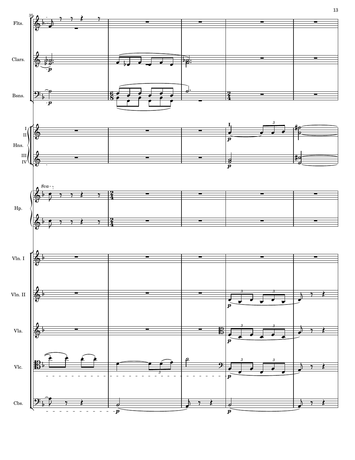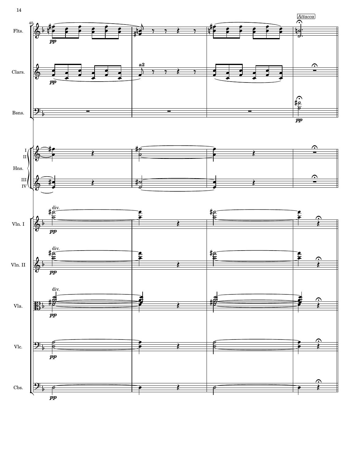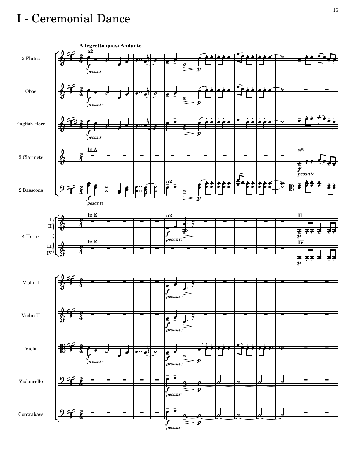# I - Ceremonial Dance

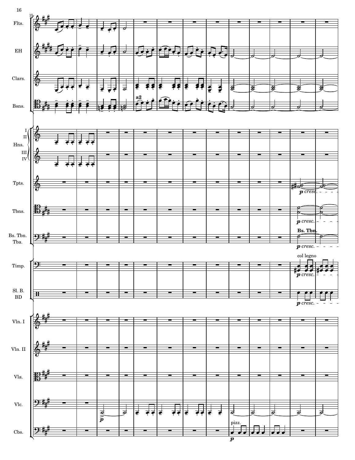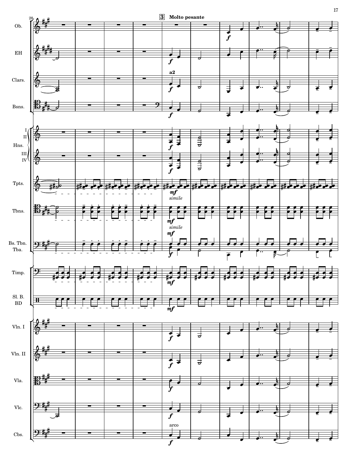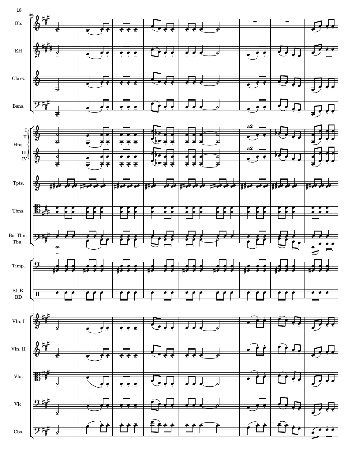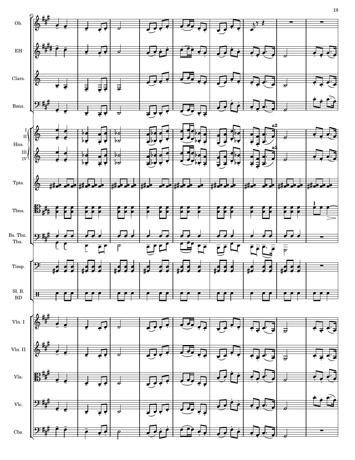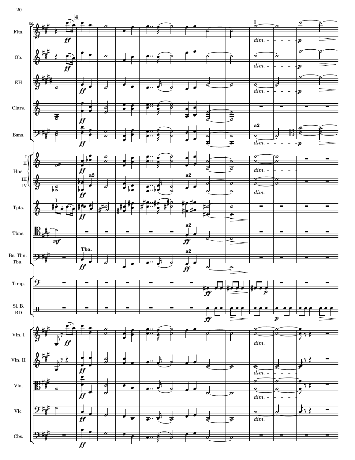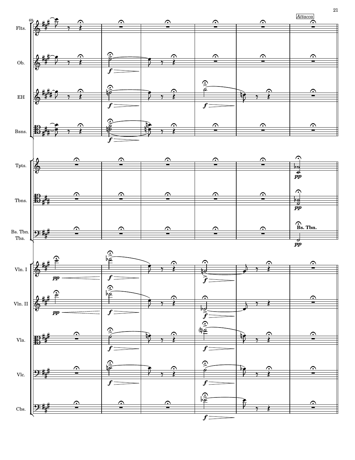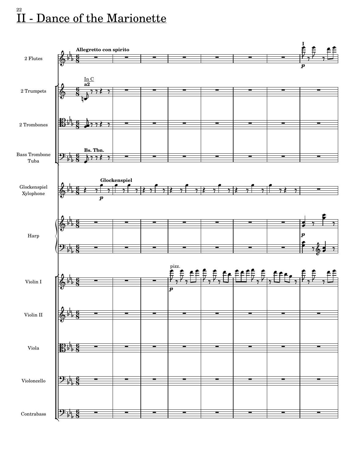### 22 II - Dance of the Marionette

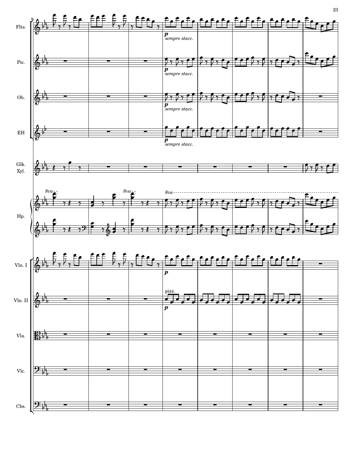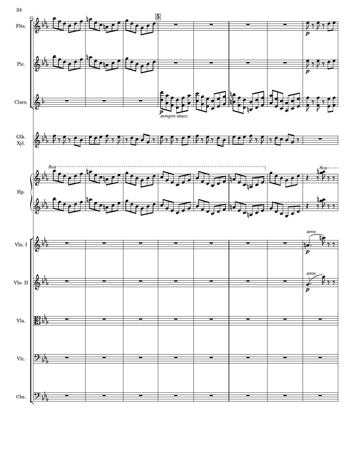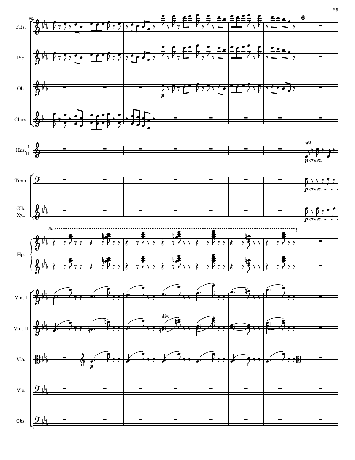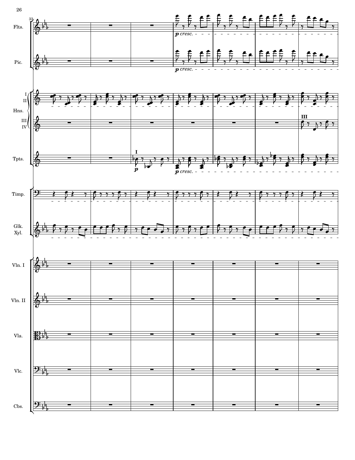

<sup>26</sup>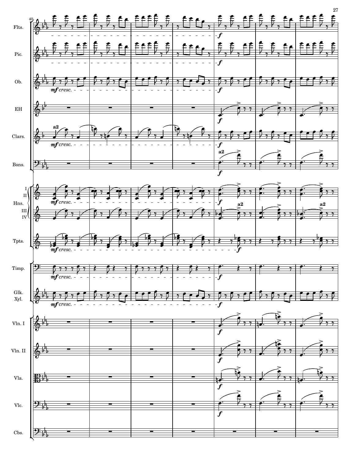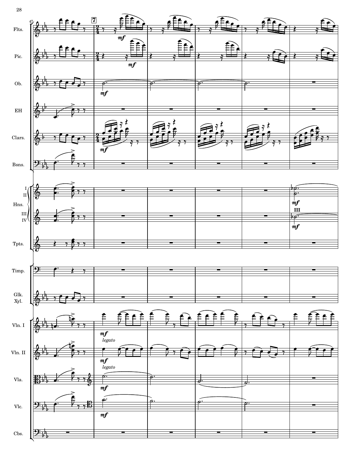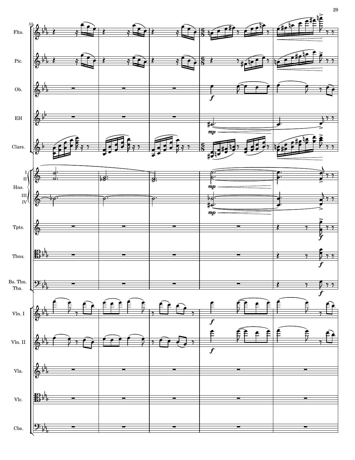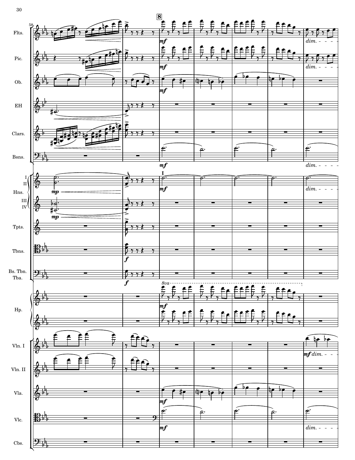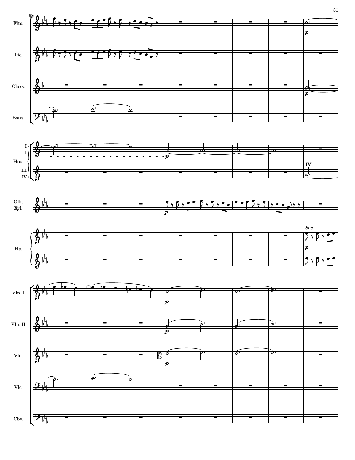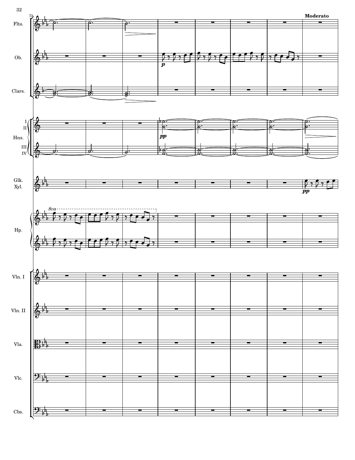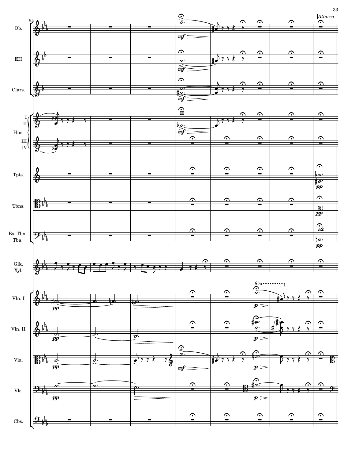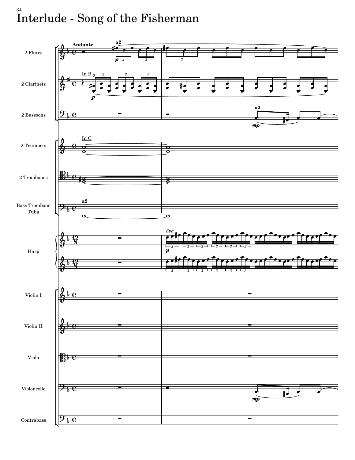#### 34 Interlude - Song of the Fisherman

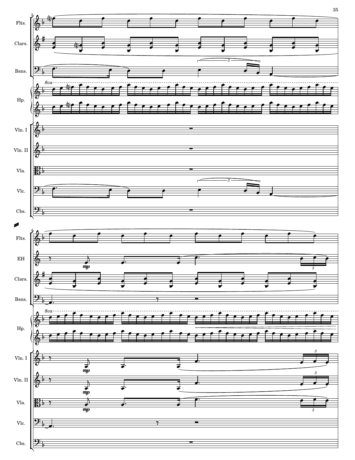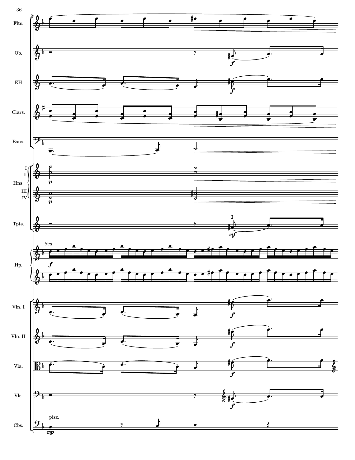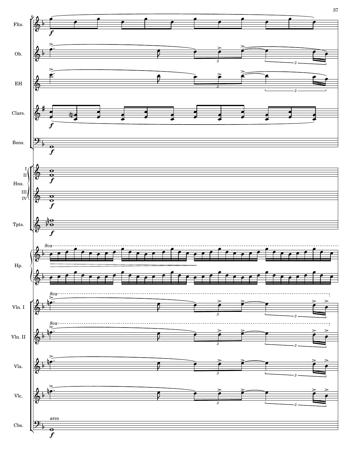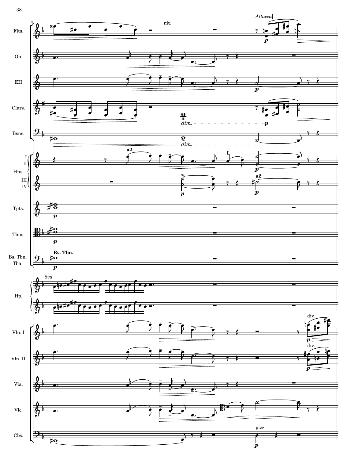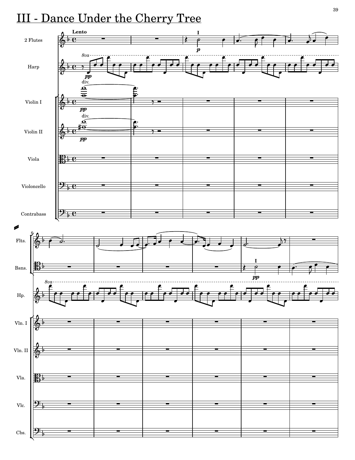## III - Dance Under the Cherry Tree

![](_page_38_Figure_1.jpeg)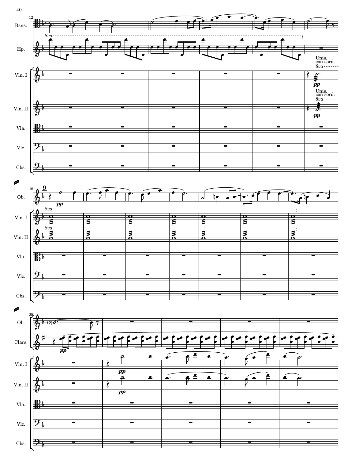![](_page_39_Figure_0.jpeg)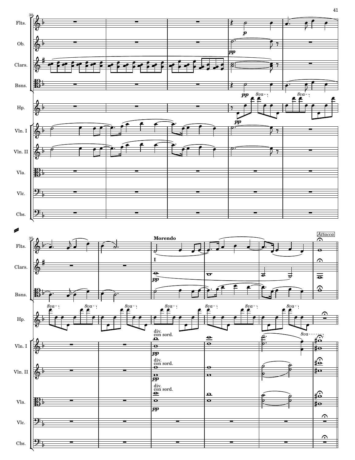![](_page_40_Figure_0.jpeg)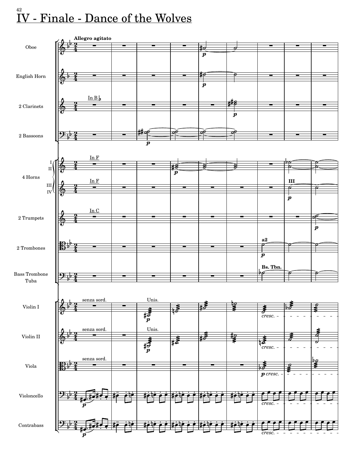### 42 IV - Finale - Dance of the Wolves

![](_page_41_Figure_1.jpeg)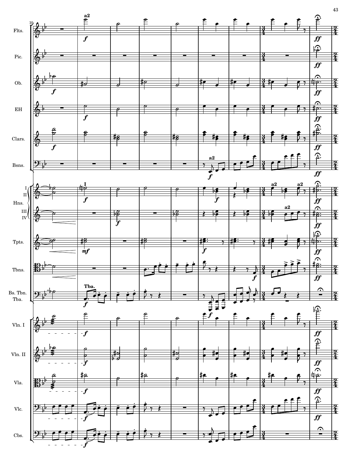![](_page_42_Figure_0.jpeg)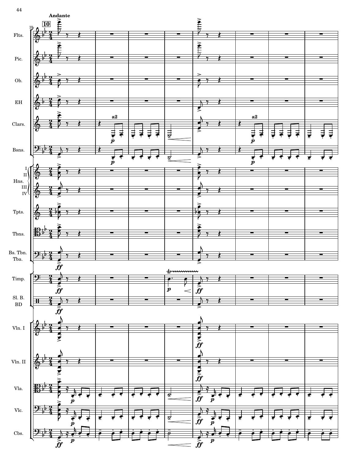![](_page_43_Figure_0.jpeg)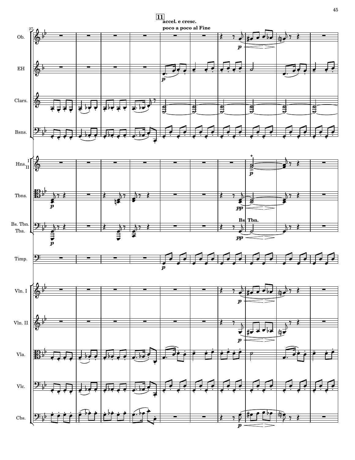![](_page_44_Figure_0.jpeg)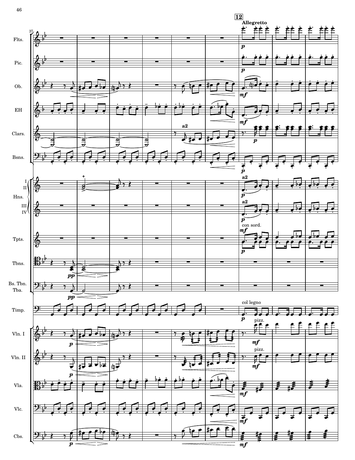![](_page_45_Figure_0.jpeg)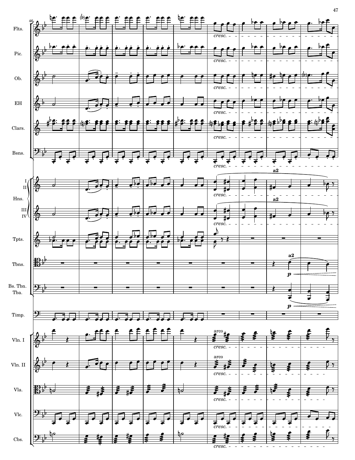![](_page_46_Figure_0.jpeg)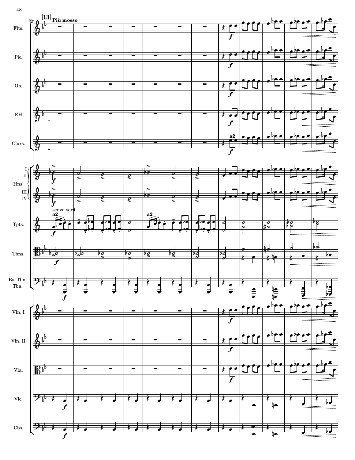![](_page_47_Figure_0.jpeg)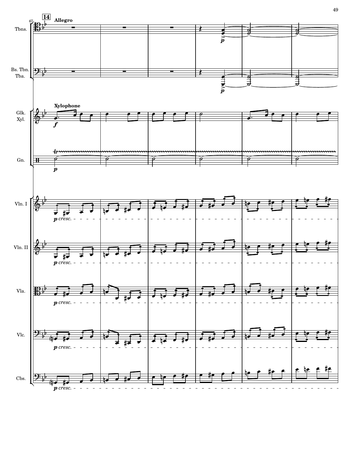![](_page_48_Figure_0.jpeg)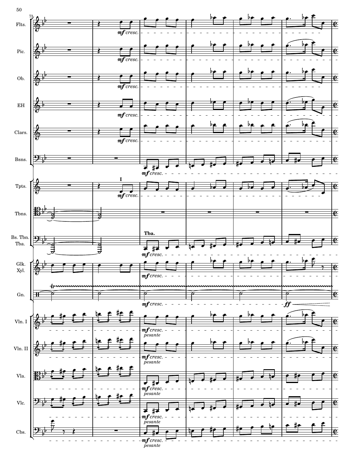![](_page_49_Figure_0.jpeg)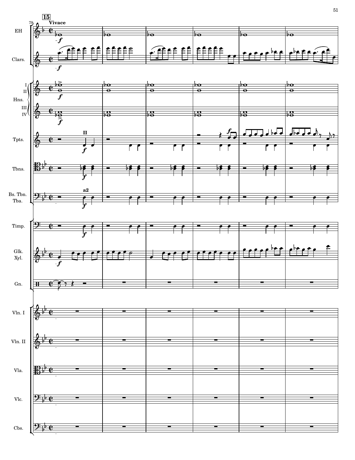![](_page_50_Figure_0.jpeg)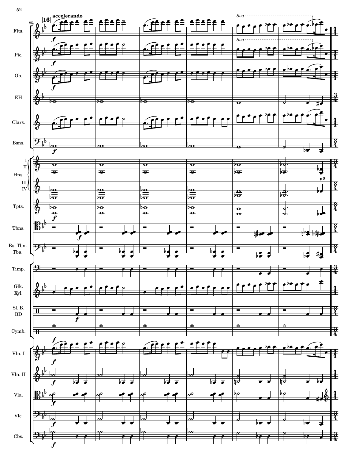![](_page_51_Figure_0.jpeg)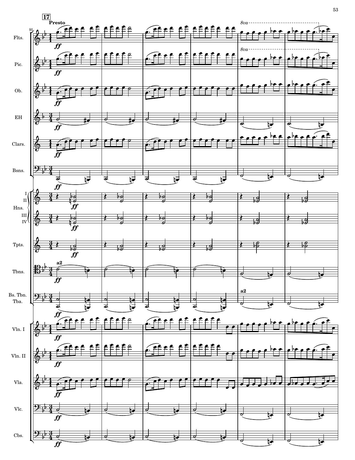![](_page_52_Figure_0.jpeg)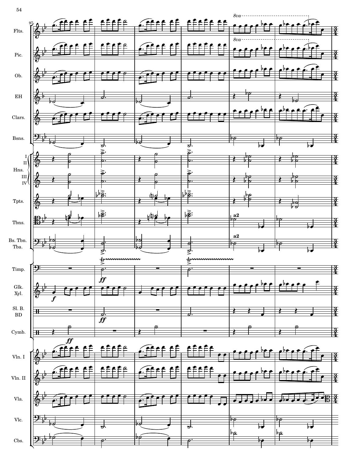![](_page_53_Figure_0.jpeg)